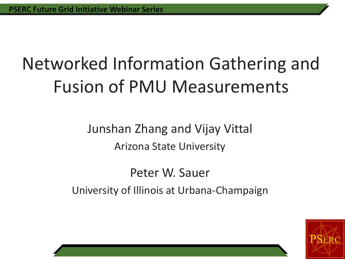#### Networked Information Gathering and Fusion of PMU Measurements

Junshan Zhang and Vijay Vittal Arizona State University

Peter W. Sauer University of Illinois at Urbana-Champaign

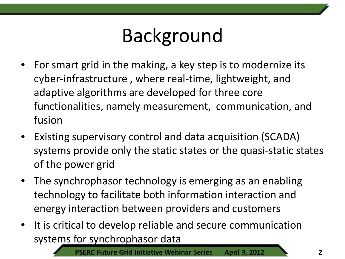## Background

- For smart grid in the making, a key step is to modernize its cyber-infrastructure , where real-time, lightweight, and adaptive algorithms are developed for three core functionalities, namely measurement, communication, and fusion
- Existing supervisory control and data acquisition (SCADA) systems provide only the static states or the quasi-static states of the power grid
- The synchrophasor technology is emerging as an enabling technology to facilitate both information interaction and energy interaction between providers and customers
- It is critical to develop reliable and secure communication systems for synchrophasor data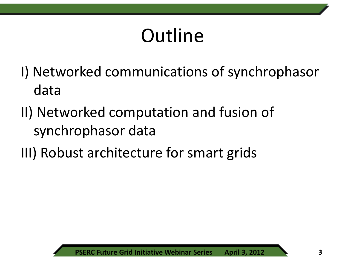## **Outline**

- I) Networked communications of synchrophasor data
- II) Networked computation and fusion of synchrophasor data
- III) Robust architecture for smart grids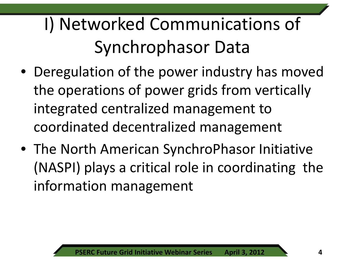#### I) Networked Communications of Synchrophasor Data

- Deregulation of the power industry has moved the operations of power grids from vertically integrated centralized management to coordinated decentralized management
- The North American SynchroPhasor Initiative (NASPI) plays a critical role in coordinating the information management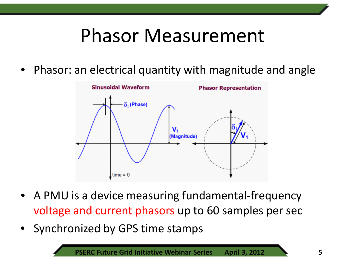#### Phasor Measurement

• Phasor: an electrical quantity with magnitude and angle



- A PMU is a device measuring fundamental-frequency voltage and current phasors up to 60 samples per sec
- Synchronized by GPS time stamps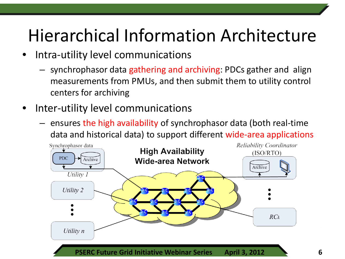#### Hierarchical Information Architecture

- Intra-utility level communications
	- synchrophasor data gathering and archiving: PDCs gather and align measurements from PMUs, and then submit them to utility control centers for archiving
- Inter-utility level communications
	- ensures the high availability of synchrophasor data (both real-time data and historical data) to support different wide-area applications

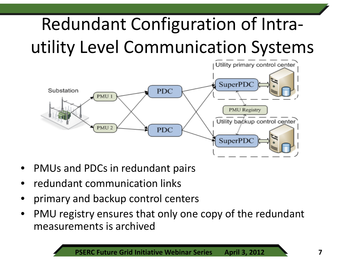## Redundant Configuration of Intrautility Level Communication Systems



- PMUs and PDCs in redundant pairs
- redundant communication links
- primary and backup control centers
- PMU registry ensures that only one copy of the redundant measurements is archived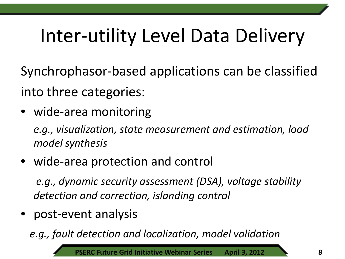# Inter-utility Level Data Delivery

Synchrophasor-based applications can be classified into three categories:

• wide-area monitoring

*e.g., visualization, state measurement and estimation, load model synthesis*

• wide-area protection and control

*e.g., dynamic security assessment (DSA), voltage stability detection and correction, islanding control*

• post-event analysis

*e.g., fault detection and localization, model validation*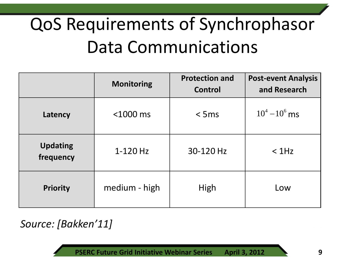#### QoS Requirements of Synchrophasor Data Communications

|                              | <b>Monitoring</b> | <b>Protection and</b><br>Control | <b>Post-event Analysis</b><br>and Research |
|------------------------------|-------------------|----------------------------------|--------------------------------------------|
| Latency                      | $<$ 1000 $ms$     | $<$ 5 ms                         | $10^4 - 10^6$ ms                           |
| <b>Updating</b><br>frequency | $1-120$ Hz        | 30-120 Hz                        | $<$ 1Hz                                    |
| <b>Priority</b>              | medium - high     | High                             | Low                                        |

*Source: [Bakken'11]*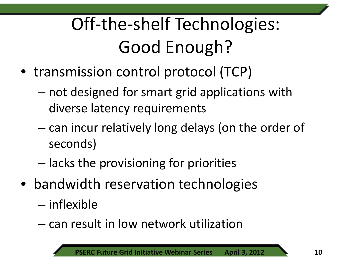## Off-the-shelf Technologies: Good Enough?

- transmission control protocol (TCP)
	- not designed for smart grid applications with diverse latency requirements
	- can incur relatively long delays (on the order of seconds)
	- lacks the provisioning for priorities
- bandwidth reservation technologies
	- inflexible
	- can result in low network utilization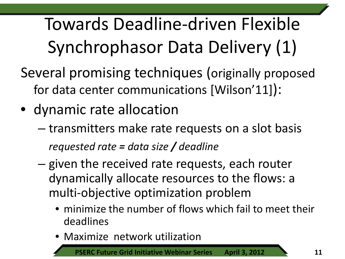Towards Deadline-driven Flexible Synchrophasor Data Delivery (1)

- Several promising techniques (originally proposed for data center communications [Wilson'11]):
- dynamic rate allocation
	- transmitters make rate requests on a slot basis *requested rate = data size / deadline*
	- given the received rate requests, each router dynamically allocate resources to the flows: a multi-objective optimization problem
		- minimize the number of flows which fail to meet their deadlines
		- Maximize network utilization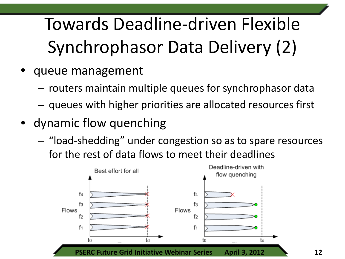## Towards Deadline-driven Flexible Synchrophasor Data Delivery (2)

- queue management
	- routers maintain multiple queues for synchrophasor data
	- queues with higher priorities are allocated resources first
- dynamic flow quenching
	- "load-shedding" under congestion so as to spare resources for the rest of data flows to meet their deadlines

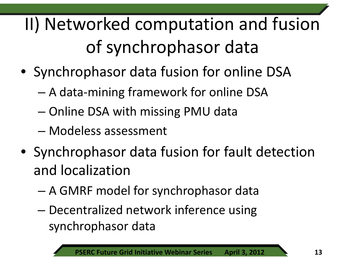II) Networked computation and fusion of synchrophasor data

- Synchrophasor data fusion for online DSA
	- A data-mining framework for online DSA
	- Online DSA with missing PMU data
	- Modeless assessment
- Synchrophasor data fusion for fault detection and localization
	- A GMRF model for synchrophasor data
	- Decentralized network inference using synchrophasor data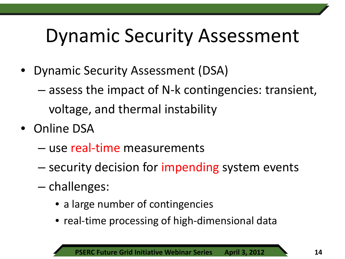#### Dynamic Security Assessment

- Dynamic Security Assessment (DSA)
	- assess the impact of N-k contingencies: transient, voltage, and thermal instability
- Online DSA
	- use real-time measurements
	- security decision for impending system events
	- challenges:
		- a large number of contingencies
		- real-time processing of high-dimensional data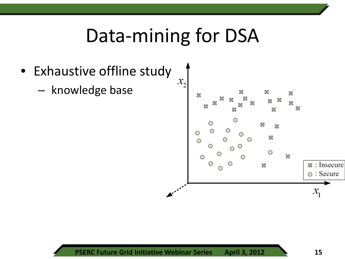#### Data-mining for DSA

- Exhaustive offline study
	- knowledge base

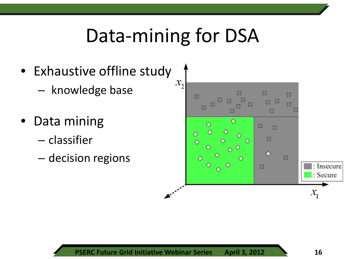#### Data-mining for DSA

- Exhaustive offline study
	- knowledge base
- Data mining
	- classifier
	- decision regions

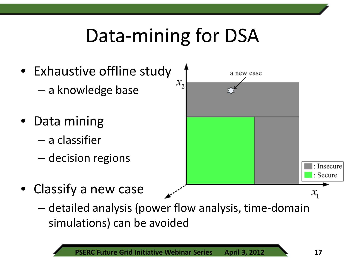## Data-mining for DSA

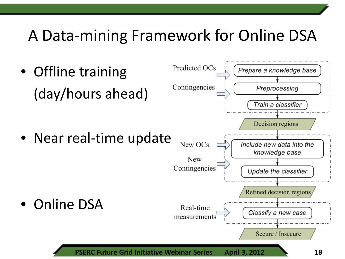#### A Data-mining Framework for Online DSA

Predicted OCs • Offline training Prepare a knowledge base Contingencies Preprocessing (day/hours ahead) Train a classifier Decision regions • Near real-time update New OCs Include new data into the knowledge base New Contingencies Update the classifier Refined decision regions • Online DSA Real-time Classify a new case measurements Secure / Insecure **PSERC Future Grid Initiative Webinar Series April 3, 2012 18**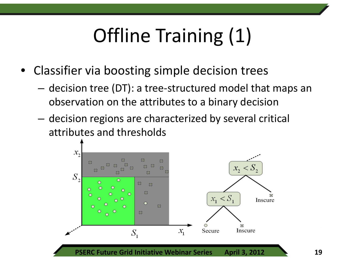# Offline Training (1)

- Classifier via boosting simple decision trees
	- decision tree (DT): a tree-structured model that maps an observation on the attributes to a binary decision
	- decision regions are characterized by several critical attributes and thresholds

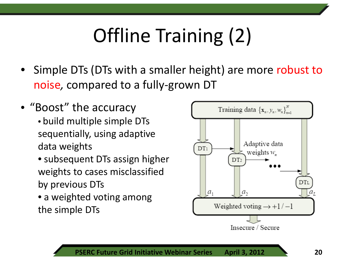# Offline Training (2)

- Simple DTs (DTs with a smaller height) are more robust to noise*,* compared to a fully-grown DT
- "Boost" the accuracy • build multiple simple DTs sequentially, using adaptive data weights
	- subsequent DTs assign higher weights to cases misclassified by previous DTs
	- a weighted voting among the simple DTs

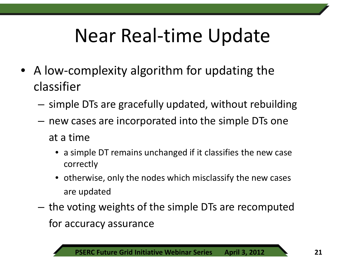## Near Real-time Update

- A low-complexity algorithm for updating the classifier
	- simple DTs are gracefully updated, without rebuilding
	- new cases are incorporated into the simple DTs one at a time
		- a simple DT remains unchanged if it classifies the new case correctly
		- otherwise, only the nodes which misclassify the new cases are updated
	- the voting weights of the simple DTs are recomputed for accuracy assurance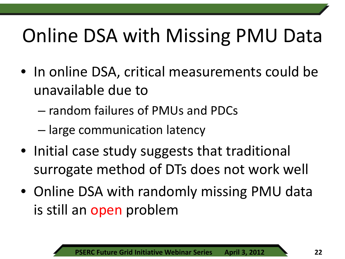# Online DSA with Missing PMU Data

- In online DSA, critical measurements could be unavailable due to
	- random failures of PMUs and PDCs
	- large communication latency
- Initial case study suggests that traditional surrogate method of DTs does not work well
- Online DSA with randomly missing PMU data is still an open problem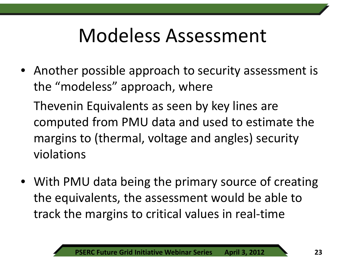#### Modeless Assessment

• Another possible approach to security assessment is the "modeless" approach, where

Thevenin Equivalents as seen by key lines are computed from PMU data and used to estimate the margins to (thermal, voltage and angles) security violations

• With PMU data being the primary source of creating the equivalents, the assessment would be able to track the margins to critical values in real-time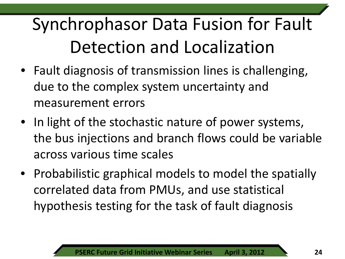#### Synchrophasor Data Fusion for Fault Detection and Localization

- Fault diagnosis of transmission lines is challenging, due to the complex system uncertainty and measurement errors
- In light of the stochastic nature of power systems, the bus injections and branch flows could be variable across various time scales
- Probabilistic graphical models to model the spatially correlated data from PMUs, and use statistical hypothesis testing for the task of fault diagnosis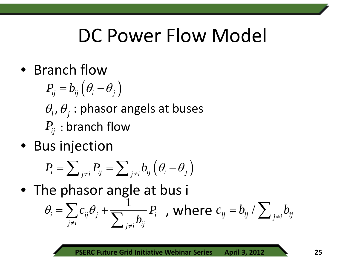#### DC Power Flow Model

• Branch flow

$$
P_{ij} = b_{ij} \left( \theta_i - \theta_j \right)
$$
\n
$$
\theta_i, \theta_j : \text{phasor angles at buses}
$$
\n
$$
P_{ij} : \text{branch flow}
$$

• Bus injection

$$
P_i = \sum_{j \neq i} P_{ij} = \sum_{j \neq i} b_{ij} \left( \theta_i - \theta_j \right)
$$

• The phasor angle at bus i

$$
\theta_i = \sum_{j \neq i} c_{ij} \theta_j + \frac{1}{\sum_{j \neq i} b_{ij}} P_i \quad \text{, where } c_{ij} = b_{ij} / \sum_{j \neq i} b_{ij}
$$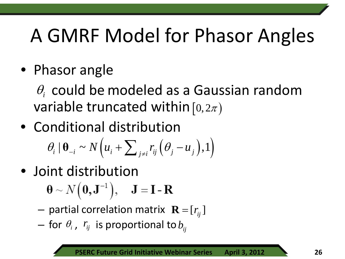## A GMRF Model for Phasor Angles

• Phasor angle

 $\theta_i$  could be modeled as a Gaussian random variable truncated within  $[0,2\pi)$ 

- Conditional distribution  $\theta_i | \mathbf{\Theta}_{-i} \sim N(u_i + \sum_{j \neq i} r_{ij} (\theta_j - u_j), 1)$
- Joint distribution

 $\mathbf{\Theta} \sim N(\mathbf{0}, \mathbf{J}^{-1}), \quad \mathbf{J} = \mathbf{I} - \mathbf{R}$ 

- $-$  partial correlation matrix  $\mathbf{R} = [r_{ij}]$
- $-$  for  $\theta$ <sub>*i*</sub>,  $r_{ij}$  is proportional to  $b_{ij}$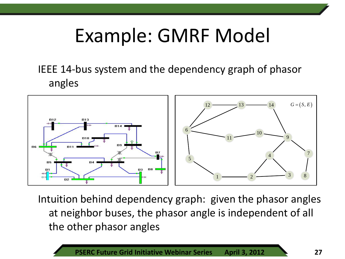#### Example: GMRF Model

IEEE 14-bus system and the dependency graph of phasor angles



Intuition behind dependency graph: given the phasor angles at neighbor buses, the phasor angle is independent of all the other phasor angles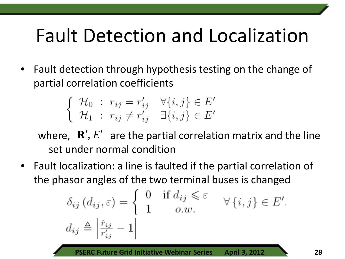## Fault Detection and Localization

• Fault detection through hypothesis testing on the change of partial correlation coefficients

$$
\begin{cases} \mathcal{H}_0 : r_{ij} = r'_{ij} & \forall \{i, j\} \in E' \\ \mathcal{H}_1 : r_{ij} \neq r'_{ij} & \exists \{i, j\} \in E' \end{cases}
$$

where,  $\mathbf{R}', E'$  are the partial correlation matrix and the line set under normal condition

• Fault localization: a line is faulted if the partial correlation of the phasor angles of the two terminal buses is changed

$$
\delta_{ij} (d_{ij}, \varepsilon) = \begin{cases} 0 & \text{if } d_{ij} \leqslant \varepsilon \\ 1 & o.w. \end{cases} \quad \forall \{i, j\} \in E',
$$

$$
d_{ij} \triangleq \left| \frac{\hat{r}_{ij}}{r'_{ij}} - 1 \right|
$$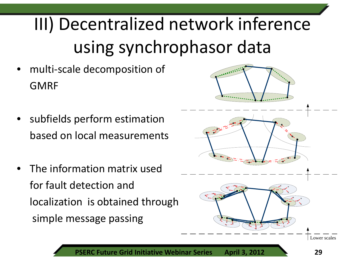#### III) Decentralized network inference using synchrophasor data

- multi-scale decomposition of GMRF
- subfields perform estimation based on local measurements
- The information matrix used for fault detection and localization is obtained through simple message passing

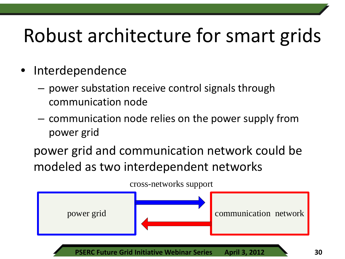## Robust architecture for smart grids

- **Interdependence** 
	- power substation receive control signals through communication node
	- communication node relies on the power supply from power grid

power grid and communication network could be modeled as two interdependent networks

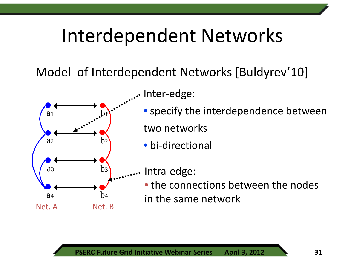#### Interdependent Networks

Model of Interdependent Networks [Buldyrev'10]



Inter-edge:

- specify the interdependence between two networks
- bi-directional

Intra-edge:

• the connections between the nodes in the same network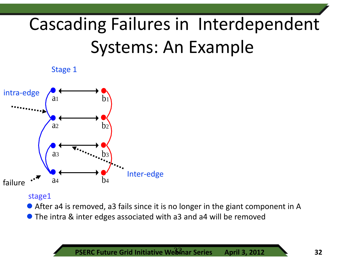#### Cascading Failures in Interdependent Systems: An Example





#### stage1

- After a4 is removed, a3 fails since it is no longer in the giant component in A
- The intra & inter edges associated with a3 and a4 will be removed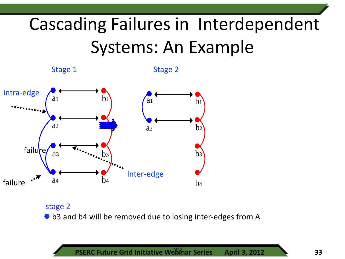#### Cascading Failures in Interdependent Systems: An Example



stage 2 ● b3 and b4 will be removed due to losing inter-edges from A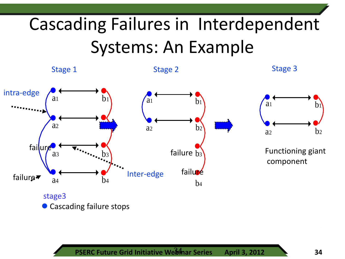#### Cascading Failures in Interdependent Systems: An Example

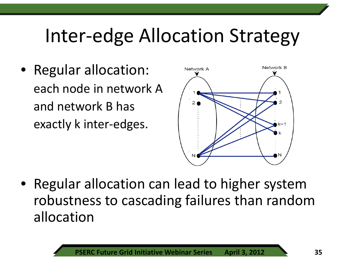#### Inter-edge Allocation Strategy

• Regular allocation: each node in network A and network B has exactly k inter-edges.



• Regular allocation can lead to higher system robustness to cascading failures than random allocation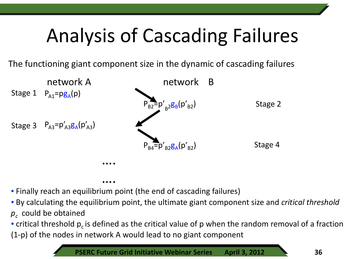# Analysis of Cascading Failures

The functioning giant component size in the dynamic of cascading failures



 …. • Finally reach an equilibrium point (the end of cascading failures)

• By calculating the equilibrium point, the ultimate giant component size and *critical threshold*   $p_c$  could be obtained

• critical threshold  $p_c$  is defined as the critical value of p when the random removal of a fraction (1-p) of the nodes in network A would lead to no giant component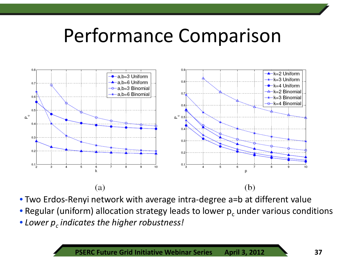#### Performance Comparison



• Two Erdos-Renyi network with average intra-degree a=b at different value

- Regular (uniform) allocation strategy leads to lower  $p_c$  under various conditions
- Lower  $p_c$  *indicates the higher robustness!*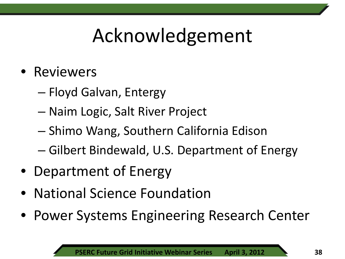#### Acknowledgement

- Reviewers
	- Floyd Galvan, Entergy
	- Naim Logic, Salt River Project
	- Shimo Wang, Southern California Edison
	- Gilbert Bindewald, U.S. Department of Energy
- Department of Energy
- National Science Foundation
- Power Systems Engineering Research Center